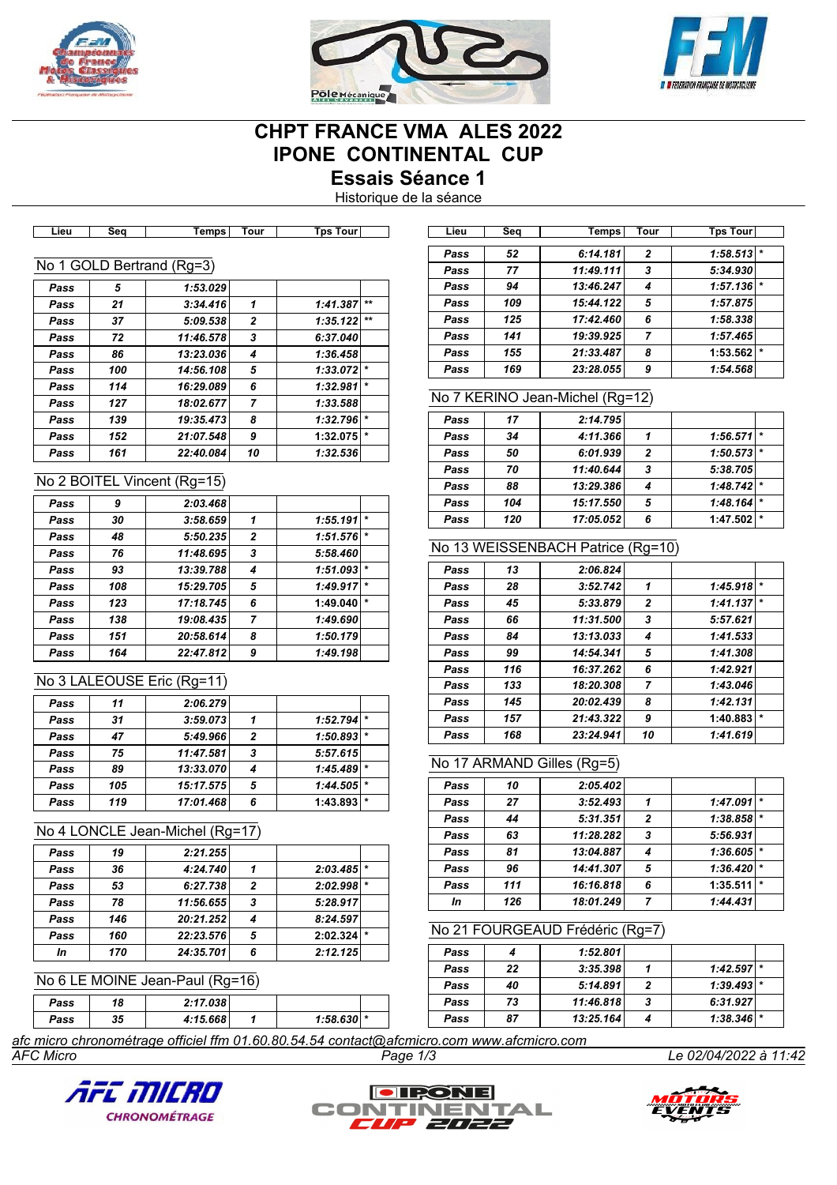





# **CHPT FRANCE VMA ALES 2022 IPONE CONTINENTAL CUP Essais Séance 1**

Historique de la séance

| Lieu | sea | <b>Temps</b>              | ı our | <b>IDS TOUL</b> |  |
|------|-----|---------------------------|-------|-----------------|--|
|      |     |                           |       |                 |  |
|      |     |                           |       |                 |  |
|      |     | No 1 GOLD Bertrand (Rg=3) |       |                 |  |
|      |     |                           |       |                 |  |
|      |     |                           |       |                 |  |
| Pass |     | 1:53.029                  |       |                 |  |

| rass | Ð.  | 1:53.029  |                |          |         |
|------|-----|-----------|----------------|----------|---------|
| Pass | 21  | 3:34.416  | 1              | 1:41.387 | $**$    |
| Pass | 37  | 5:09.538  | $\overline{2}$ | 1:35.122 | $**$    |
| Pass | 72  | 11:46.578 | 3              | 6:37.040 |         |
| Pass | 86  | 13:23.036 | 4              | 1:36.458 |         |
| Pass | 100 | 14:56.108 | 5              | 1:33.072 | $\star$ |
| Pass | 114 | 16:29.089 | 6              | 1:32.981 | $\star$ |
| Pass | 127 | 18:02.677 | 7              | 1:33.588 |         |
| Pass | 139 | 19:35.473 | 8              | 1:32.796 | $\star$ |
| Pass | 152 | 21:07.548 | 9              | 1:32.075 | $\star$ |
| Pass | 161 | 22:40.084 | 10             | 1:32.536 |         |

# No 2 BOITEL Vincent (Rg=15)

| Pass | 9   | 2:03.468  |                |          |         |
|------|-----|-----------|----------------|----------|---------|
| Pass | 30  | 3:58.659  | 1              | 1:55.191 | $\star$ |
| Pass | 48  | 5:50.235  | $\overline{2}$ | 1:51.576 | $\star$ |
| Pass | 76  | 11:48.695 | 3              | 5:58.460 |         |
| Pass | 93  | 13:39.788 | 4              | 1:51.093 | $\star$ |
| Pass | 108 | 15:29.705 | 5              | 1:49.917 | $\star$ |
| Pass | 123 | 17:18.745 | 6              | 1:49.040 | $\star$ |
| Pass | 138 | 19:08.435 | $\overline{ }$ | 1:49.690 |         |
| Pass | 151 | 20:58.614 | 8              | 1:50.179 |         |
| Pass | 164 | 22:47.812 | 9              | 1:49.198 |         |

#### No 3 LALEOUSE Eric (Rg=11)

| Pass | 11  | 2:06.279  |                |          |         |
|------|-----|-----------|----------------|----------|---------|
| Pass | 31  | 3:59.073  |                | 1:52.794 | l ÷     |
| Pass | 47  | 5:49.966  | $\overline{2}$ | 1:50.893 | $\star$ |
| Pass | 75  | 11:47.581 | 3              | 5:57.615 |         |
| Pass | 89  | 13:33.070 |                | 1:45.489 | $\star$ |
| Pass | 105 | 15:17.575 | 5              | 1:44.505 | $\star$ |
| Pass | 119 | 17:01.468 | 6              | 1:43.893 | $\star$ |
|      |     |           |                |          |         |

## No 4 LONCLE Jean-Michel (Rg=17)

| 19  | 2:21.255  |   |          |         |
|-----|-----------|---|----------|---------|
| 36  | 4:24.740  |   | 2:03.485 | $\star$ |
| 53  | 6:27.738  | 2 | 2:02.998 | $\star$ |
| 78  | 11:56.655 | 3 | 5:28.917 |         |
| 146 | 20:21.252 | 4 | 8:24.597 |         |
| 160 | 22:23.576 | 5 | 2:02.324 | $\star$ |
| 170 | 24:35.701 | 6 | 2:12.125 |         |
|     |           |   |          |         |

#### No 6 LE MOINE Jean-Paul (Rg=16)

| Pass | 18 | 2:17.038 |               |  |
|------|----|----------|---------------|--|
| Pass | 35 | 4:15.668 | $1:58.630$  * |  |

| Lieu | Sea | Temps     | Tour | <b>Tps Tour</b> |         |
|------|-----|-----------|------|-----------------|---------|
| Pass | 52  | 6:14.181  | 2    | 1:58.513        |         |
| Pass | 77  | 11:49.111 | 3    | 5:34.930        |         |
| Pass | 94  | 13:46.247 | 4    | 1:57.136        | $\star$ |
| Pass | 109 | 15:44.122 | 5    | 1:57.875        |         |
| Pass | 125 | 17:42.460 | 6    | 1:58.338        |         |
| Pass | 141 | 19:39.925 | 7    | 1:57.465        |         |
| Pass | 155 | 21:33.487 | 8    | 1:53.562        | $\star$ |
| Pass | 169 | 23:28.055 | 9    | 1:54.568        |         |

# No 7 KERINO Jean-Michel (Rg=12)

| Pass | 17  | 2:14.795  |                |              |         |
|------|-----|-----------|----------------|--------------|---------|
| Pass | 34  | 4:11.366  |                | 1:56.571     |         |
| Pass | 50  | 6:01.939  | $\overline{2}$ | 1:50.573     |         |
| Pass | 70  | 11:40.644 | 3              | 5:38.705     |         |
| Pass | 88  | 13:29.386 |                | $1:48.742$ * |         |
| Pass | 104 | 15:17.550 | 5              | 1:48.164     | $\star$ |
| Pass | 120 | 17:05.052 | 6              | 1:47.502     | $\star$ |

# No 13 WEISSENBACH Patrice (Rg=10)

| Pass | 13  | 2:06.824  |                |          |         |
|------|-----|-----------|----------------|----------|---------|
| Pass | 28  | 3:52.742  | 1              | 1:45.918 | $\star$ |
| Pass | 45  | 5:33.879  | $\overline{2}$ | 1:41.137 | $\star$ |
| Pass | 66  | 11:31.500 | 3              | 5:57.621 |         |
| Pass | 84  | 13:13.033 | 4              | 1:41.533 |         |
| Pass | 99  | 14:54.341 | 5              | 1:41.308 |         |
| Pass | 116 | 16:37.262 | 6              | 1:42.921 |         |
| Pass | 133 | 18:20.308 | $\overline{7}$ | 1:43.046 |         |
| Pass | 145 | 20:02.439 | 8              | 1:42.131 |         |
| Pass | 157 | 21:43.322 | 9              | 1:40.883 | $\star$ |
| Pass | 168 | 23:24.941 | 10             | 1:41.619 |         |

## No 17 ARMAND Gilles (Rg=5)

| Pass | 10  | 2:05.402  |                |          |         |
|------|-----|-----------|----------------|----------|---------|
| Pass | 27  | 3:52.493  |                | 1:47.091 | $\star$ |
| Pass | 44  | 5:31.351  | $\overline{2}$ | 1:38.858 |         |
| Pass | 63  | 11:28.282 | 3              | 5:56.931 |         |
| Pass | 81  | 13:04.887 |                | 1:36.605 |         |
| Pass | 96  | 14:41.307 | 5              | 1:36.420 | $\star$ |
| Pass | 111 | 16:16.818 | 6              | 1:35.511 | $\star$ |
| In   | 126 | 18:01.249 |                | 1:44.431 |         |

## No 21 FOURGEAUD Frédéric (Rg=7)

| Pass |    | 1:52.801  |   |              |  |
|------|----|-----------|---|--------------|--|
| Pass | 22 | 3:35.398  |   | $1:42.597$ * |  |
| Pass | 40 | 5:14.891  |   | $1:39.493$ * |  |
| Pass | 73 | 11:46.818 | 3 | 6:31.927     |  |
| Pass | 87 | 13:25.164 |   | $1:38.346$ * |  |

*AFC Micro Page 1/3 Le 02/04/2022 à 11:42 afc micro chronométrage officiel ffm 01.60.80.54.54 contact@afcmicro.com www.afcmicro.com*





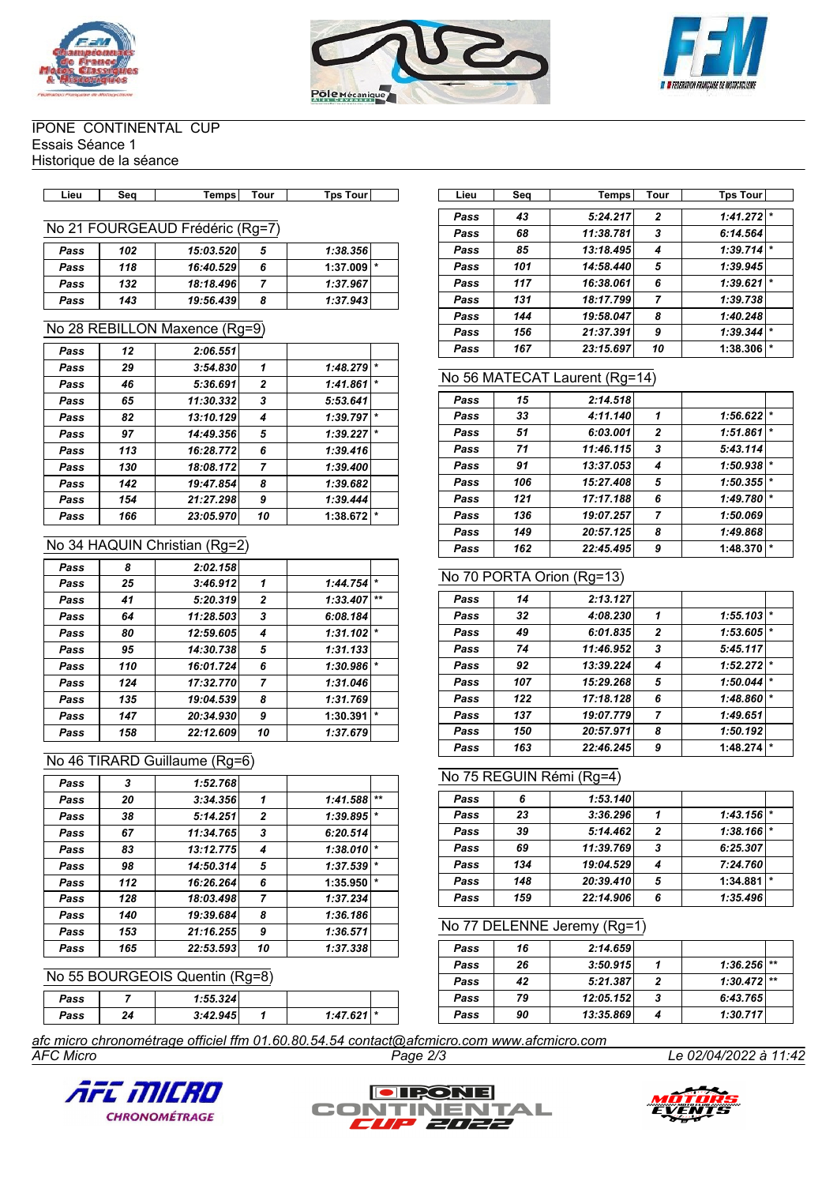





#### IPONE CONTINENTAL CUP Essais Séance 1 Historique de la séance

| _ieu | Sec | <b>Temps</b> | Tour | Tour<br>Гps | ∟ieư | s.,<br>ou | <b>Temps</b> | Tour | <b>T</b> DS<br><b>TOUT</b> |
|------|-----|--------------|------|-------------|------|-----------|--------------|------|----------------------------|

# No 21 FOURGEAUD Frédéric (Rg=7)

| Pass | 102 | 15:03.520 | 5 | 1:38.356     |  |
|------|-----|-----------|---|--------------|--|
| Pass | 118 | 16:40.529 | 6 | $1:37.009$ * |  |
| Pass | 132 | 18:18.496 |   | 1:37.967     |  |
| Pass | 143 | 19:56.439 |   | 1:37.943     |  |

#### No 28 REBILLON Maxence (Rg=9)

| Pass | 12  | 2:06.551  |                |          |         |
|------|-----|-----------|----------------|----------|---------|
| Pass | 29  | 3:54.830  | 1              | 1:48.279 | $\star$ |
| Pass | 46  | 5:36.691  | $\mathbf{z}$   | 1:41.861 | $\star$ |
| Pass | 65  | 11:30.332 | 3              | 5:53.641 |         |
| Pass | 82  | 13:10.129 | 4              | 1:39.797 | $\star$ |
| Pass | 97  | 14:49.356 | 5              | 1:39.227 | $\star$ |
| Pass | 113 | 16:28.772 | 6              | 1:39.416 |         |
| Pass | 130 | 18:08.172 | $\overline{ }$ | 1:39.400 |         |
| Pass | 142 | 19:47.854 | 8              | 1:39.682 |         |
| Pass | 154 | 21:27.298 | 9              | 1:39.444 |         |
| Pass | 166 | 23:05.970 | 10             | 1:38.672 | $\star$ |

#### No 34 HAQUIN Christian (Rg=2)

| Pass | 8   | 2:02.158  |              |          |         |
|------|-----|-----------|--------------|----------|---------|
| Pass | 25  | 3:46.912  | 1            | 1:44.754 | $\star$ |
| Pass | 41  | 5:20.319  | $\mathbf{z}$ | 1:33.407 | $**$    |
| Pass | 64  | 11:28.503 | 3            | 6:08.184 |         |
| Pass | 80  | 12:59.605 | 4            | 1:31.102 | $\star$ |
| Pass | 95  | 14:30.738 | 5            | 1:31.133 |         |
| Pass | 110 | 16:01.724 | 6            | 1:30.986 | $\star$ |
| Pass | 124 | 17:32.770 | 7            | 1:31.046 |         |
| Pass | 135 | 19:04.539 | 8            | 1:31.769 |         |
| Pass | 147 | 20:34.930 | 9            | 1:30.391 | $\star$ |
| Pass | 158 | 22:12.609 | 10           | 1:37.679 |         |

## No 46 TIRARD Guillaume (Rg=6)

| Pass | 3   | 1:52.768  |                |          |         |
|------|-----|-----------|----------------|----------|---------|
| Pass | 20  | 3:34.356  | 1              | 1:41.588 | $+ +$   |
| Pass | 38  | 5:14.251  | $\overline{2}$ | 1:39.895 | $\star$ |
| Pass | 67  | 11:34.765 | 3              | 6:20.514 |         |
| Pass | 83  | 13:12.775 | 4              | 1:38.010 | $\star$ |
| Pass | 98  | 14:50.314 | 5              | 1:37.539 | $\star$ |
| Pass | 112 | 16:26.264 | 6              | 1:35.950 | $\star$ |
| Pass | 128 | 18:03.498 | 7              | 1:37.234 |         |
| Pass | 140 | 19:39.684 | 8              | 1:36.186 |         |
| Pass | 153 | 21:16.255 | 9              | 1:36.571 |         |
| Pass | 165 | 22:53.593 | 10             | 1:37.338 |         |

# No 55 BOURGEOIS Quentin (Rg=8)

| Pass |    | 1:55.324 |      |  |
|------|----|----------|------|--|
| Pass | 24 | 3:42.945 | 1.47 |  |

| Lieu | Seq | Temps     | Tour           | <b>Tps Tour</b> |         |
|------|-----|-----------|----------------|-----------------|---------|
|      |     |           |                |                 |         |
| Pass | 43  | 5:24.217  | $\overline{2}$ | 1:41.272        | $\star$ |
| Pass | 68  | 11:38.781 | 3              | 6:14.564        |         |
| Pass | 85  | 13:18.495 | 4              | $1:39.714$ *    |         |
| Pass | 101 | 14:58.440 | 5              | 1:39.945        |         |
| Pass | 117 | 16:38.061 | 6              | 1:39.621        | $\ast$  |
| Pass | 131 | 18:17.799 | $\overline{7}$ | 1:39.738        |         |
| Pass | 144 | 19:58.047 | 8              | 1:40.248        |         |
| Pass | 156 | 21:37.391 | 9              | 1:39.344        | $\star$ |
| Pass | 167 | 23:15.697 | 10             | 1:38.306        | $\star$ |

# No 56 MATECAT Laurent (Rg=14)

| Pass | 15  | 2:14.518  |              |          |         |
|------|-----|-----------|--------------|----------|---------|
| Pass | 33  | 4:11.140  | 1            | 1:56.622 |         |
| Pass | 51  | 6:03.001  | $\mathbf{2}$ | 1:51.861 | $\star$ |
| Pass | 71  | 11:46.115 | 3            | 5:43.114 |         |
| Pass | 91  | 13:37.053 | 4            | 1:50.938 | $\star$ |
| Pass | 106 | 15:27.408 | 5            | 1:50.355 |         |
| Pass | 121 | 17:17.188 | 6            | 1:49.780 | $\star$ |
| Pass | 136 | 19:07.257 | 7            | 1:50.069 |         |
| Pass | 149 | 20:57.125 | 8            | 1:49.868 |         |
| Pass | 162 | 22:45.495 | 9            | 1:48.370 | $\star$ |

## No 70 PORTA Orion (Rg=13)

| Pass | 14  | 2:13.127  |              |          |         |
|------|-----|-----------|--------------|----------|---------|
| Pass | 32  | 4:08.230  | 1            | 1:55.103 | $\star$ |
| Pass | 49  | 6:01.835  | $\mathbf{2}$ | 1:53.605 | $\star$ |
| Pass | 74  | 11:46.952 | 3            | 5:45.117 |         |
| Pass | 92  | 13:39.224 | 4            | 1:52.272 | *       |
| Pass | 107 | 15:29.268 | 5            | 1:50.044 |         |
| Pass | 122 | 17:18.128 | 6            | 1:48.860 | $\star$ |
| Pass | 137 | 19:07.779 | 7            | 1:49.651 |         |
| Pass | 150 | 20:57.971 | 8            | 1:50.192 |         |
| Pass | 163 | 22:46.245 | 9            | 1:48.274 | $\star$ |
|      |     |           |              |          |         |

#### No 75 REGUIN Rémi (Rg=4)

| Pass |     | 1:53.140  |   |                         |         |
|------|-----|-----------|---|-------------------------|---------|
| Pass | 23  | 3:36.296  |   | $1:43.156$ *            |         |
| Pass | 39  | 5:14.462  | 2 | $1:38.166$ <sup>*</sup> |         |
| Pass | 69  | 11:39.769 | 3 | 6:25.307                |         |
| Pass | 134 | 19:04.529 |   | 7:24.760                |         |
| Pass | 148 | 20:39.410 | 5 | 1:34.881                | $\star$ |
| Pass | 159 | 22:14.906 | 6 | 1:35.496                |         |

#### No 77 DELENNE Jeremy (Rg=1)

| Pass | 16 | 2:14.659  |   |               |  |
|------|----|-----------|---|---------------|--|
| Pass | 26 | 3:50.915  |   | $1:36.256$ ** |  |
| Pass | 42 | 5:21.387  |   | $1:30.472$ ** |  |
| Pass | 79 | 12:05.152 | 3 | 6:43.765      |  |
| Pass | 90 | 13:35.869 |   | 1:30.717      |  |

*AFC Micro Page 2/3 Le 02/04/2022 à 11:42 afc micro chronométrage officiel ffm 01.60.80.54.54 contact@afcmicro.com www.afcmicro.com*